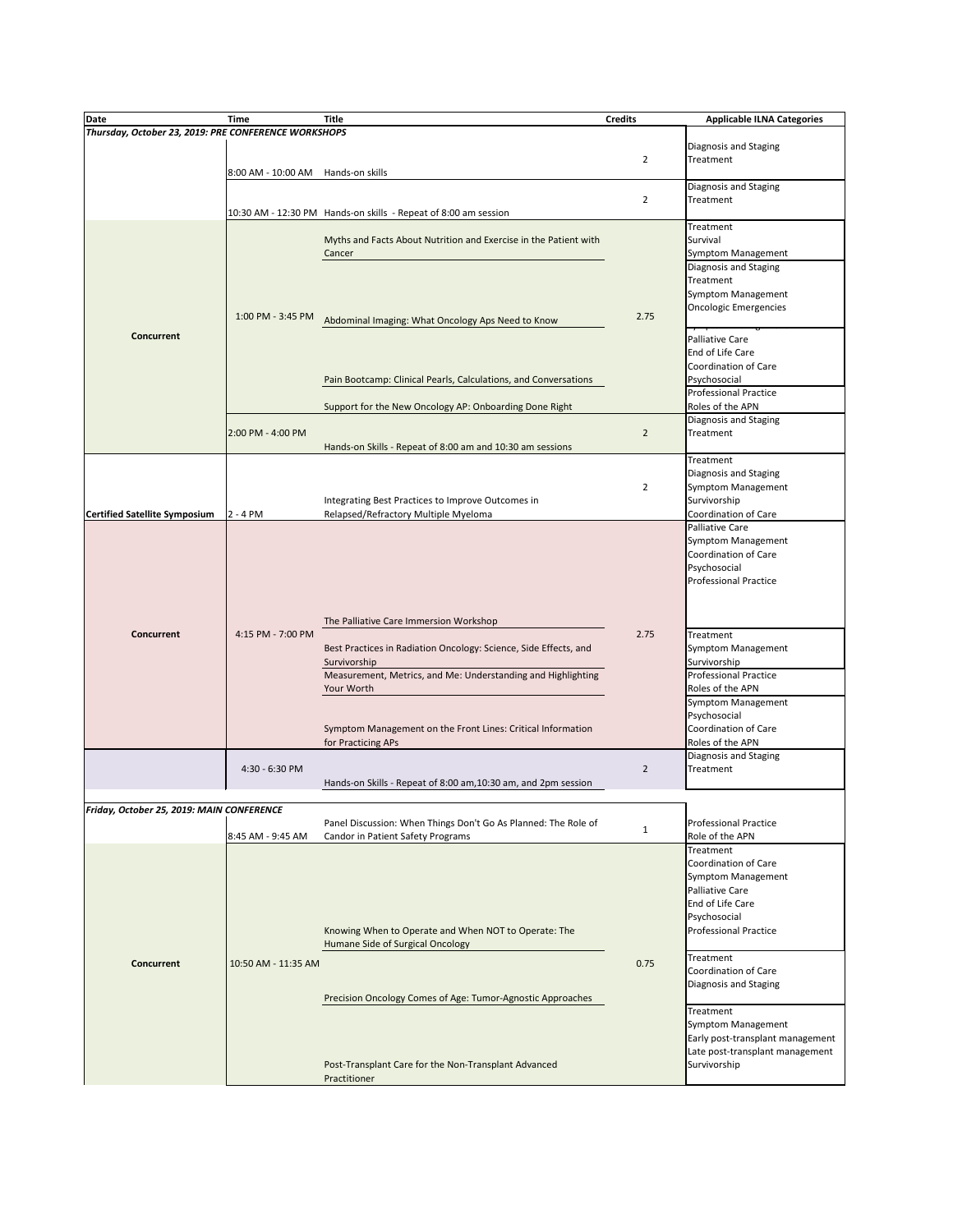| Date                                                 | <b>Time</b>                        | <b>Title</b>                                                     | <b>Credits</b> | <b>Applicable ILNA Categories</b> |
|------------------------------------------------------|------------------------------------|------------------------------------------------------------------|----------------|-----------------------------------|
| Thursday, October 23, 2019: PRE CONFERENCE WORKSHOPS |                                    |                                                                  |                |                                   |
|                                                      |                                    |                                                                  |                | Diagnosis and Staging             |
|                                                      |                                    |                                                                  | $\overline{2}$ | Treatment                         |
|                                                      | 8:00 AM - 10:00 AM Hands-on skills |                                                                  |                |                                   |
|                                                      |                                    |                                                                  |                |                                   |
|                                                      |                                    |                                                                  |                | Diagnosis and Staging             |
|                                                      |                                    |                                                                  | $\overline{2}$ | Treatment                         |
|                                                      |                                    | 10:30 AM - 12:30 PM Hands-on skills - Repeat of 8:00 am session  |                |                                   |
|                                                      |                                    |                                                                  |                | Treatment                         |
|                                                      |                                    | Myths and Facts About Nutrition and Exercise in the Patient with |                | Survival                          |
|                                                      |                                    | Cancer                                                           |                | <b>Symptom Management</b>         |
|                                                      |                                    |                                                                  |                | Diagnosis and Staging             |
|                                                      |                                    |                                                                  |                | Treatment                         |
|                                                      |                                    |                                                                  |                | <b>Symptom Management</b>         |
|                                                      |                                    |                                                                  |                | <b>Oncologic Emergencies</b>      |
|                                                      | 1:00 PM - 3:45 PM                  | Abdominal Imaging: What Oncology Aps Need to Know                | 2.75           |                                   |
| <b>Concurrent</b>                                    |                                    |                                                                  |                | ᢦᡒ<br><b>Palliative Care</b>      |
|                                                      |                                    |                                                                  |                | End of Life Care                  |
|                                                      |                                    |                                                                  |                |                                   |
|                                                      |                                    |                                                                  |                | Coordination of Care              |
|                                                      |                                    | Pain Bootcamp: Clinical Pearls, Calculations, and Conversations  |                | Psychosocial                      |
|                                                      |                                    |                                                                  |                | Professional Practice             |
|                                                      |                                    | Support for the New Oncology AP: Onboarding Done Right           |                | Roles of the APN                  |
|                                                      |                                    |                                                                  |                | Diagnosis and Staging             |
|                                                      | 2:00 PM - 4:00 PM                  |                                                                  | $\overline{2}$ | Treatment                         |
|                                                      |                                    | Hands-on Skills - Repeat of 8:00 am and 10:30 am sessions        |                |                                   |
|                                                      |                                    |                                                                  |                | Treatment                         |
|                                                      |                                    |                                                                  |                | Diagnosis and Staging             |
|                                                      |                                    |                                                                  | $\overline{2}$ | Symptom Management                |
|                                                      |                                    | Integrating Best Practices to Improve Outcomes in                |                | Survivorship                      |
| <b>Certified Satellite Symposium</b>                 | $2 - 4 PM$                         | Relapsed/Refractory Multiple Myeloma                             |                | Coordination of Care              |
|                                                      |                                    |                                                                  |                | <b>Palliative Care</b>            |
|                                                      |                                    |                                                                  |                | <b>Symptom Management</b>         |
|                                                      |                                    |                                                                  |                | Coordination of Care              |
|                                                      |                                    |                                                                  |                | Psychosocial                      |
|                                                      |                                    |                                                                  |                | <b>Professional Practice</b>      |
|                                                      |                                    |                                                                  |                |                                   |
|                                                      |                                    |                                                                  |                |                                   |
|                                                      |                                    |                                                                  |                |                                   |
|                                                      |                                    | The Palliative Care Immersion Workshop                           |                |                                   |
| <b>Concurrent</b>                                    | 4:15 PM - 7:00 PM                  |                                                                  | 2.75           | Treatment                         |
|                                                      |                                    | Best Practices in Radiation Oncology: Science, Side Effects, and |                | Symptom Management                |
|                                                      |                                    | Survivorship                                                     |                | Survivorship                      |
|                                                      |                                    | Measurement, Metrics, and Me: Understanding and Highlighting     |                | <b>Professional Practice</b>      |
|                                                      |                                    | Your Worth                                                       |                | Roles of the APN                  |
|                                                      |                                    |                                                                  |                | <b>Symptom Management</b>         |
|                                                      |                                    |                                                                  |                | Psychosocial                      |
|                                                      |                                    | Symptom Management on the Front Lines: Critical Information      |                | <b>Coordination of Care</b>       |
|                                                      |                                    | for Practicing APs                                               |                | Roles of the APN                  |
|                                                      |                                    |                                                                  |                | Diagnosis and Staging             |
|                                                      | 4:30 - 6:30 PM                     |                                                                  | $\overline{2}$ | Treatment                         |
|                                                      |                                    | Hands-on Skills - Repeat of 8:00 am, 10:30 am, and 2pm session   |                |                                   |
|                                                      |                                    |                                                                  |                |                                   |
| Friday, October 25, 2019: MAIN CONFERENCE            |                                    |                                                                  |                |                                   |
|                                                      |                                    | Panel Discussion: When Things Don't Go As Planned: The Role of   |                | <b>Professional Practice</b>      |
|                                                      | 8:45 AM - 9:45 AM                  | Candor in Patient Safety Programs                                | $\mathbf{1}$   | Role of the APN                   |
|                                                      |                                    |                                                                  |                | Treatment                         |
|                                                      |                                    |                                                                  |                | Coordination of Care              |
|                                                      |                                    |                                                                  |                |                                   |
|                                                      |                                    |                                                                  |                | <b>Symptom Management</b>         |
|                                                      |                                    |                                                                  |                | <b>Palliative Care</b>            |
|                                                      |                                    |                                                                  |                | End of Life Care                  |
|                                                      |                                    |                                                                  |                | Psychosocial                      |
|                                                      |                                    | Knowing When to Operate and When NOT to Operate: The             |                | <b>Professional Practice</b>      |
|                                                      |                                    | Humane Side of Surgical Oncology                                 |                |                                   |
| <b>Concurrent</b>                                    | 10:50 AM - 11:35 AM                |                                                                  | 0.75           | Treatment                         |
|                                                      |                                    |                                                                  |                | <b>Coordination of Care</b>       |
|                                                      |                                    |                                                                  |                | Diagnosis and Staging             |
|                                                      |                                    | Precision Oncology Comes of Age: Tumor-Agnostic Approaches       |                |                                   |
|                                                      |                                    |                                                                  |                | Treatment                         |
|                                                      |                                    |                                                                  |                | Symptom Management                |
|                                                      |                                    |                                                                  |                | Early post-transplant management  |
|                                                      |                                    |                                                                  |                | Late post-transplant management   |
|                                                      |                                    | Post-Transplant Care for the Non-Transplant Advanced             |                | Survivorship                      |
|                                                      |                                    | Practitioner                                                     |                |                                   |
|                                                      |                                    |                                                                  |                |                                   |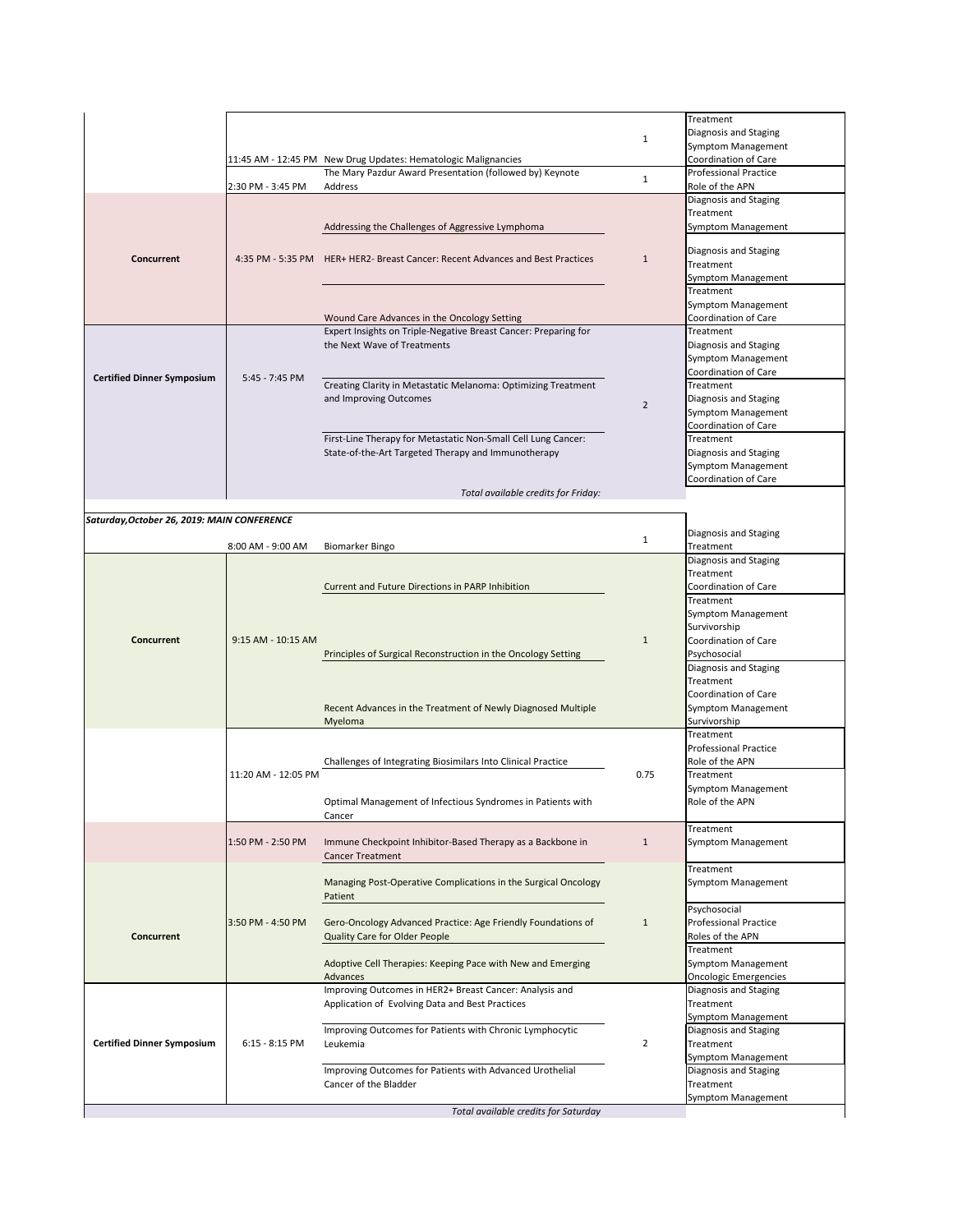|                                             |                     |                                                                                                                                                                                                                 |                | Treatment                                                                         |
|---------------------------------------------|---------------------|-----------------------------------------------------------------------------------------------------------------------------------------------------------------------------------------------------------------|----------------|-----------------------------------------------------------------------------------|
|                                             |                     |                                                                                                                                                                                                                 | $\mathbf 1$    | Diagnosis and Staging<br><b>Symptom Management</b>                                |
|                                             |                     | 11:45 AM - 12:45 PM New Drug Updates: Hematologic Malignancies<br>The Mary Pazdur Award Presentation (followed by) Keynote                                                                                      | $\mathbf 1$    | <b>Coordination of Care</b><br><b>Professional Practice</b>                       |
|                                             | 2:30 PM - 3:45 PM   | Address                                                                                                                                                                                                         |                | Role of the APN<br>Diagnosis and Staging                                          |
| <b>Concurrent</b>                           |                     | Addressing the Challenges of Aggressive Lymphoma                                                                                                                                                                | $\mathbf{1}$   | Treatment<br><b>Symptom Management</b>                                            |
|                                             |                     | 4:35 PM - 5:35 PM HER+ HER2- Breast Cancer: Recent Advances and Best Practices                                                                                                                                  |                | Diagnosis and Staging<br>Treatment                                                |
|                                             |                     |                                                                                                                                                                                                                 |                | <b>Symptom Management</b><br>Treatment<br><b>Symptom Management</b>               |
|                                             |                     | Wound Care Advances in the Oncology Setting                                                                                                                                                                     |                | <b>Coordination of Care</b>                                                       |
|                                             |                     | Expert Insights on Triple-Negative Breast Cancer: Preparing for                                                                                                                                                 |                | Treatment                                                                         |
|                                             |                     | the Next Wave of Treatments                                                                                                                                                                                     | $\overline{2}$ | Diagnosis and Staging<br><b>Symptom Management</b><br>Coordination of Care        |
| <b>Certified Dinner Symposium</b>           | 5:45 - 7:45 PM      | Creating Clarity in Metastatic Melanoma: Optimizing Treatment<br>and Improving Outcomes<br>First-Line Therapy for Metastatic Non-Small Cell Lung Cancer:<br>State-of-the-Art Targeted Therapy and Immunotherapy |                | Treatment                                                                         |
|                                             |                     |                                                                                                                                                                                                                 |                | Diagnosis and Staging<br><b>Symptom Management</b><br><b>Coordination of Care</b> |
|                                             |                     |                                                                                                                                                                                                                 |                | Treatment                                                                         |
|                                             |                     |                                                                                                                                                                                                                 |                | Diagnosis and Staging<br>Symptom Management                                       |
|                                             |                     | Total available credits for Friday:                                                                                                                                                                             |                | Coordination of Care                                                              |
| Saturday, October 26, 2019: MAIN CONFERENCE |                     |                                                                                                                                                                                                                 |                |                                                                                   |
|                                             |                     |                                                                                                                                                                                                                 | $\mathbf{1}$   | Diagnosis and Staging                                                             |
|                                             | 8:00 AM - 9:00 AM   | <b>Biomarker Bingo</b>                                                                                                                                                                                          |                | Treatment<br>Diagnosis and Staging                                                |
|                                             |                     |                                                                                                                                                                                                                 |                | Treatment                                                                         |
|                                             |                     | <b>Current and Future Directions in PARP Inhibition</b>                                                                                                                                                         |                | <b>Coordination of Care</b>                                                       |
|                                             |                     |                                                                                                                                                                                                                 |                | Treatment                                                                         |
|                                             |                     |                                                                                                                                                                                                                 |                | <b>Symptom Management</b>                                                         |
|                                             |                     |                                                                                                                                                                                                                 |                | Survivorship                                                                      |
| <b>Concurrent</b>                           | 9:15 AM - 10:15 AM  |                                                                                                                                                                                                                 | $\mathbf{1}$   | Coordination of Care                                                              |
|                                             |                     | Principles of Surgical Reconstruction in the Oncology Setting                                                                                                                                                   |                | Psychosocial<br>Diagnosis and Staging                                             |
|                                             |                     |                                                                                                                                                                                                                 |                | Treatment                                                                         |
|                                             |                     |                                                                                                                                                                                                                 |                | <b>Coordination of Care</b>                                                       |
|                                             |                     | Recent Advances in the Treatment of Newly Diagnosed Multiple                                                                                                                                                    |                | <b>Symptom Management</b>                                                         |
|                                             |                     | Myeloma                                                                                                                                                                                                         |                | Survivorship                                                                      |
|                                             |                     |                                                                                                                                                                                                                 |                | Treatment                                                                         |
|                                             |                     | Challenges of Integrating Biosimilars Into Clinical Practice                                                                                                                                                    |                | <b>Professional Practice</b><br>Role of the APN                                   |
|                                             | 11:20 AM - 12:05 PM |                                                                                                                                                                                                                 | 0.75           | Treatment                                                                         |
|                                             |                     |                                                                                                                                                                                                                 |                | <b>Symptom Management</b>                                                         |
|                                             |                     | Optimal Management of Infectious Syndromes in Patients with                                                                                                                                                     |                | Role of the APN                                                                   |
|                                             |                     | Cancer                                                                                                                                                                                                          |                |                                                                                   |
|                                             |                     |                                                                                                                                                                                                                 |                | Treatment<br><b>Symptom Management</b>                                            |
|                                             |                     |                                                                                                                                                                                                                 |                |                                                                                   |
|                                             | 1:50 PM - 2:50 PM   | Immune Checkpoint Inhibitor-Based Therapy as a Backbone in<br><b>Cancer Treatment</b>                                                                                                                           | 1              |                                                                                   |
|                                             |                     |                                                                                                                                                                                                                 |                | Treatment                                                                         |
|                                             |                     | Managing Post-Operative Complications in the Surgical Oncology                                                                                                                                                  |                | <b>Symptom Management</b>                                                         |
|                                             |                     | Patient                                                                                                                                                                                                         |                | Psychosocial                                                                      |
|                                             | 3:50 PM - 4:50 PM   | Gero-Oncology Advanced Practice: Age Friendly Foundations of                                                                                                                                                    | $\mathbf{1}$   | <b>Professional Practice</b>                                                      |
| <b>Concurrent</b>                           |                     | <b>Quality Care for Older People</b>                                                                                                                                                                            |                | Roles of the APN                                                                  |
|                                             |                     |                                                                                                                                                                                                                 |                | Treatment                                                                         |
|                                             |                     | Adoptive Cell Therapies: Keeping Pace with New and Emerging                                                                                                                                                     |                | <b>Symptom Management</b>                                                         |
|                                             |                     | Advances                                                                                                                                                                                                        |                | <b>Oncologic Emergencies</b>                                                      |
|                                             |                     | Improving Outcomes in HER2+ Breast Cancer: Analysis and                                                                                                                                                         |                | Diagnosis and Staging                                                             |
|                                             |                     | Application of Evolving Data and Best Practices                                                                                                                                                                 |                | Treatment                                                                         |
|                                             |                     | Improving Outcomes for Patients with Chronic Lymphocytic                                                                                                                                                        |                | Symptom Management<br>Diagnosis and Staging                                       |
|                                             | $6:15 - 8:15$ PM    | Leukemia                                                                                                                                                                                                        | $\overline{2}$ | Treatment                                                                         |
|                                             |                     |                                                                                                                                                                                                                 |                | Symptom Management                                                                |
| <b>Certified Dinner Symposium</b>           |                     | Improving Outcomes for Patients with Advanced Urothelial                                                                                                                                                        |                | Diagnosis and Staging                                                             |
|                                             |                     | Cancer of the Bladder                                                                                                                                                                                           |                | Treatment<br>Symptom Management                                                   |